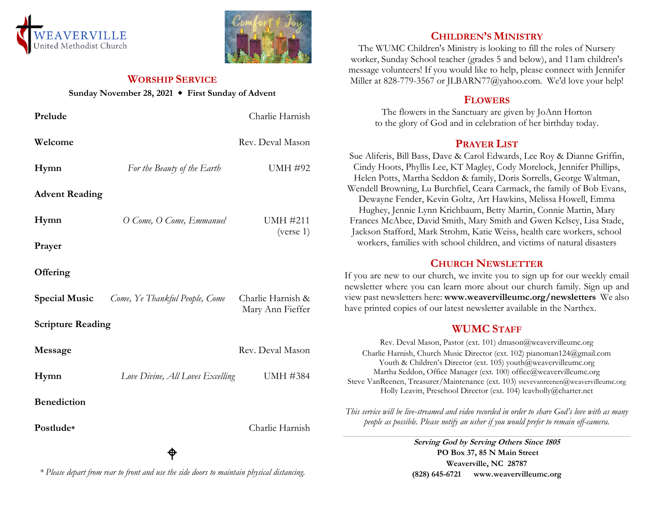



### **WORSHIP SERVICE**

#### **Sunday November 28, 2021 First Sunday of Advent**

| Prelude                  |                                  | Charlie Harnish                       |
|--------------------------|----------------------------------|---------------------------------------|
| Welcome                  |                                  | Rev. Deval Mason                      |
| Hymn                     | For the Beauty of the Earth      | <b>UMH #92</b>                        |
| <b>Advent Reading</b>    |                                  |                                       |
| Hymn                     | O Come, O Come, Emmanuel         | <b>UMH #211</b><br>(verse 1)          |
| Prayer                   |                                  |                                       |
| Offering                 |                                  |                                       |
| <b>Special Music</b>     | Come, Ye Thankful People, Come   | Charlie Harnish &<br>Mary Ann Fieffer |
| <b>Scripture Reading</b> |                                  |                                       |
| Message                  |                                  | Rev. Deval Mason                      |
| Hymn                     | Love Divine, All Loves Excelling | <b>UMH #384</b>                       |
| <b>Benediction</b>       |                                  |                                       |
| Postlude*                |                                  | Charlie Harnish                       |

# **CHILDREN'S MINISTRY**

The WUMC Children's Ministry is looking to fill the roles of Nursery worker, Sunday School teacher (grades 5 and below), and 11am children's message volunteers! If you would like to help, please connect with Jennifer Miller at 828-779-3567 or JLBARN77@yahoo.com. We'd love your help!

#### **FLOWERS**

The flowers in the Sanctuary are given by JoAnn Horton to the glory of God and in celebration of her birthday today.

### **PRAYER LIST**

Sue Aliferis, Bill Bass, Dave & Carol Edwards, Lee Roy & Dianne Griffin, Cindy Hoots, Phyllis Lee, KT Magley, Cody Morelock, Jennifer Phillips, Helen Potts, Martha Seddon & family, Doris Sorrells, George Waltman, Wendell Browning, Lu Burchfiel, Ceara Carmack, the family of Bob Evans, Dewayne Fender, Kevin Goltz, Art Hawkins, Melissa Howell, Emma Hughey, Jennie Lynn Krichbaum, Betty Martin, Connie Martin, Mary Frances McAbee, David Smith, Mary Smith and Gwen Kelsey, Lisa Stade, Jackson Stafford, Mark Strohm, Katie Weiss, health care workers, school workers, families with school children, and victims of natural disasters

# **CHURCH NEWSLETTER**

If you are new to our church, we invite you to sign up for our weekly email newsletter where you can learn more about our church family. Sign up and view past newsletters here: **www.weavervilleumc.org/newsletters** We also have printed copies of our latest newsletter available in the Narthex.

# **WUMC STAFF**

Rev. Deval Mason, Pastor (ext. 101) dmason@weavervilleumc.org Charlie Harnish, Church Music Director (ext. 102) pianoman124@gmail.com Youth & Children's Director (ext. 105) youth@weavervilleumc.org Martha Seddon, Office Manager (ext. 100) office@weavervilleumc.org Steve VanReenen, Treasurer/Maintenance (ext. 103) stevevanreenen@weavervilleumc.org Holly Leavitt, Preschool Director (ext. 104) leavholly@charter.net

*This service will be live-streamed and video recorded in order to share God's love with as many people as possible. Please notify an usher if you would prefer to remain off-camera.*

> **Serving God by Serving Others Since 1805 PO Box 37, 85 N Main Street Weaverville, NC 28787 (828) 645-6721 [www.weavervilleumc.org](http://www.weavervilleumc.org/)**

# *\* Please depart from rear to front and use the side doors to maintain physical distancing.*

ዋ